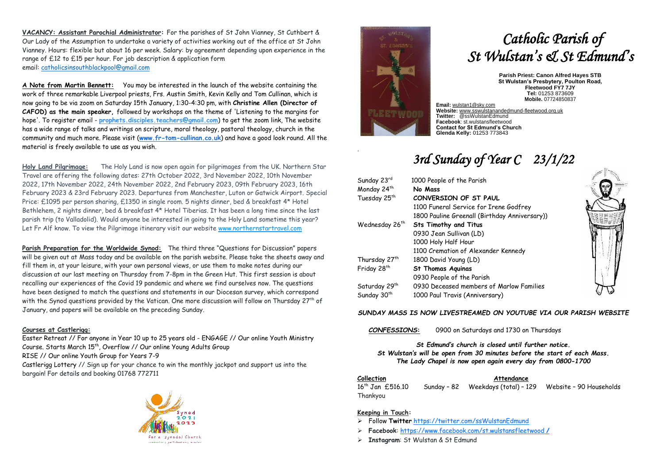**VACANCY: Assistant Parochial Administrator:** For the parishes of St John Vianney, St Cuthbert & Our Lady of the Assumption to undertake a variety of activities working out of the office at St John Vianney. Hours: flexible but about 16 per week. Salary: by agreement depending upon experience in the range of £12 to £15 per hour. For job description & application form email: [catholicsinsouthblackpool@gmail.com](mailto:catholicsinsouthblackpool@gmail.com)

**A Note from Martin Bennett:** You may be interested in the launch of the website containing the work of three remarkable Liverpool priests, Frs. Austin Smith, Kevin Kelly and Tom Cullinan, which is now going to be via zoom on Saturday 15th January, 1:30-4:30 pm, with **Christine Allen (Director of CAFOD) as the main speaker,** followed by workshops on the theme of 'Listening to the margins for hope'. To register email - **[prophets.disciples.teachers@gmail.com](mailto:prophets.disciples.teachers@gmail.com)**) to get the zoom link, The website has a wide range of talks and writings on scripture, moral theology, pastoral theology, church in the community and much more. Please visit (**[www.fr-tom-cullinan.co.uk](http://www.fr-tom-cullinan.co.uk/)**) and have a good look round. All the material is freely available to use as you wish.

**Holy Land Pilgrimage:** The Holy Land is now open again for pilgrimages from the UK. Northern Star Travel are offering the following dates: 27th October 2022, 3rd November 2022, 10th November 2022, 17th November 2022, 24th November 2022, 2nd February 2023, 09th February 2023, 16th February 2023 & 23rd February 2023. Departures from Manchester, Luton or Gatwick Airport. Special Price: £1095 per person sharing, £1350 in single room. 5 nights dinner, bed & breakfast 4\* Hotel Bethlehem, 2 nights dinner, bed & breakfast 4\* Hotel Tiberias. It has been a long time since the last parish trip (to Valladolid). Would anyone be interested in going to the Holy Land sometime this year? Let Fr Alf know. To view the Pilgrimage itinerary visit our website [www.northernstartravel.com](https://3noes.r.a.d.sendibm1.com/mk/cl/f/iEVNwjKaWTditS4xPmMyxMJzU6Kbkjz9jdyyYTxA1R9pE-7eqoLsJxqhCNhq4W16KJ98CbA0fcuFlnsvaKTOTi52J3-WMv2k5Hd1oQd0AVfj3NX3ekLSe5lIYi94RgdSggH0cuv62ZjjWV1SdAjMO5BELdsRZerpoycq2YiobWNg5tWaOoqBlU4qGJ13I-s1_I0DkitlEMWY9xihYnlnRX_vUiZF9cdD8919GA)

**Parish Preparation for the Worldwide Synod:** The third three "Questions for Discussion" papers will be given out at Mass today and be available on the parish website. Please take the sheets away and fill them in, at your leisure, with your own personal views, or use them to make notes during our discussion at our last meeting on Thursday from 7-8pm in the Green Hut. This first session is about recalling our experiences of the Covid 19 pandemic and where we find ourselves now. The questions have been designed to match the questions and statements in our Diocesan survey, which correspond with the Synod questions provided by the Vatican. One more discussion will follow on Thursday 27<sup>th</sup> of January, and papers will be available on the preceding Sunday.

### **Courses at Castlerigg:**

[Easter Retreat](https://www.castleriggmanor.co.uk/easter) // For anyone in Year 10 up to 25 years old - [ENGAGE](https://www.castleriggmanor.co.uk/engage) // Our online Youth Ministry Course. Starts March 15<sup>th</sup>, [Overflow](https://www.castleriggmanor.co.uk/overflow) // Our online Young Adults Group [RISE](https://www.castleriggmanor.co.uk/riseonline) // Our online Youth Group for Years 7-9 [Castlerigg Lottery](https://www.castleriggmanor.co.uk/lottery) // Sign up for your chance to win the monthly jackpot and support us into the bargain! For details and booking 01768 772711





.

# *Catholic Parish of St Wulstan's & St Edmund's*

**Parish Priest: Canon Alfred Hayes STB St Wulstan's Presbytery, Poulton Road, Fleetwood FY7 7JY Tel:** 01253 873609 **Mobile.** 07724850837

**Website:** [www.sswulstanandedmund-fleetwood.org.uk](http://www.sswulstanandedmund-fleetwood.org.uk/) **Twitter:** @ssWulstanEdmund **Facebook**: st.wulstansfleetwood **Contact for St Edmund's Church Glenda Kelly:** 01253 773843

## *3rd Sunday of Year C 23/1/22*

| Sunday 23rd               | 1000 People of the Parish                     |
|---------------------------|-----------------------------------------------|
| Monday 24th               | No Mass                                       |
| Tuesday 25 <sup>th</sup>  | CONVERSION OF ST PAUL                         |
|                           | 1100 Funeral Service for Irene Godfrey        |
|                           | 1800 Pauline Greenall (Birthday Anniversary)) |
| Wednesday 26th            | <b>Sts Timothy and Titus</b>                  |
|                           | 0930 Jean Sullivan (LD)                       |
|                           | 1000 Holy Half Hour                           |
|                           | 1100 Cremation of Alexander Kennedy           |
| Thursday 27th             | 1800 David Young (LD)                         |
| Friday 28 <sup>th</sup>   | <b>St Thomas Aquinas</b>                      |
|                           | 0930 People of the Parish                     |
| Saturday 29 <sup>th</sup> | 0930 Deceased members of Marlow Families      |
| Sunday 30 <sup>th</sup>   | 1000 Paul Travis (Anniversary)                |



### *SUNDAY MASS IS NOW LIVESTREAMED ON YOUTUBE VIA OUR PARISH WEBSITE*

*CONFESSIONS***:** 0900 on Saturdays and 1730 on Thursdays

*St Edmund's church is closed until further notice. St Wulstan's will be open from 30 minutes before the start of each Mass. The Lady Chapel is now open again every day from 0800-1700*

**Collection Attendance**

16<sup>th</sup> Jan £516.10 Sunday - 82 Weekdays (total) - 129 Website - 90 Households Thankyou

### **Keeping in Touch:**

- ➢ Follow **Twitter** <https://twitter.com/ssWulstanEdmund>
- ➢ **Facebook**: https://www.facebook.com/st.wulstansfleetwood **/**
- ➢ **Instagram**: St Wulstan & St Edmund

**Email:** [wulstan1@sky.com](mailto:wulstan1@sky.com)